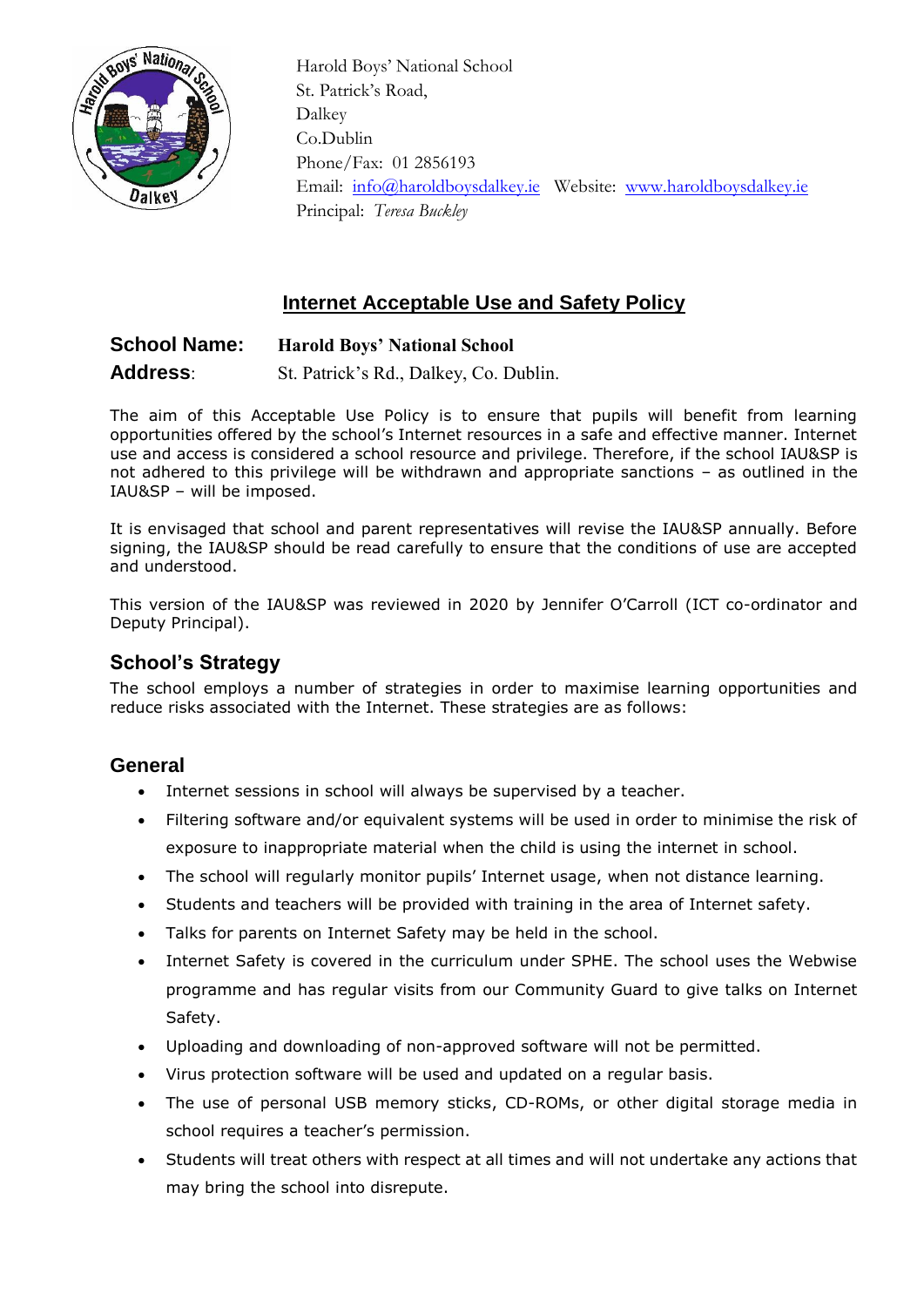

 Harold Boys' National School St. Patrick's Road, Dalkey Co.Dublin Phone/Fax: 01 2856193 Email: [info@haroldboysdalkey.ie](mailto:info@haroldboysdalkey.ie) Website: [www.haroldboysdalkey.ie](http://www.haroldboysdalkey.ie/) Principal: *Teresa Buckley*

# **Internet Acceptable Use and Safety Policy**

# **School Name: Harold Boys' National School Address**: St. Patrick's Rd., Dalkey, Co. Dublin.

The aim of this Acceptable Use Policy is to ensure that pupils will benefit from learning opportunities offered by the school's Internet resources in a safe and effective manner. Internet use and access is considered a school resource and privilege. Therefore, if the school IAU&SP is not adhered to this privilege will be withdrawn and appropriate sanctions – as outlined in the IAU&SP – will be imposed.

It is envisaged that school and parent representatives will revise the IAU&SP annually. Before signing, the IAU&SP should be read carefully to ensure that the conditions of use are accepted and understood.

This version of the IAU&SP was reviewed in 2020 by Jennifer O'Carroll (ICT co-ordinator and Deputy Principal).

## **School's Strategy**

The school employs a number of strategies in order to maximise learning opportunities and reduce risks associated with the Internet. These strategies are as follows:

### **General**

- Internet sessions in school will always be supervised by a teacher.
- Filtering software and/or equivalent systems will be used in order to minimise the risk of exposure to inappropriate material when the child is using the internet in school.
- The school will regularly monitor pupils' Internet usage, when not distance learning.
- Students and teachers will be provided with training in the area of Internet safety.
- Talks for parents on Internet Safety may be held in the school.
- Internet Safety is covered in the curriculum under SPHE. The school uses the Webwise programme and has regular visits from our Community Guard to give talks on Internet Safety.
- Uploading and downloading of non-approved software will not be permitted.
- Virus protection software will be used and updated on a regular basis.
- The use of personal USB memory sticks, CD-ROMs, or other digital storage media in school requires a teacher's permission.
- Students will treat others with respect at all times and will not undertake any actions that may bring the school into disrepute.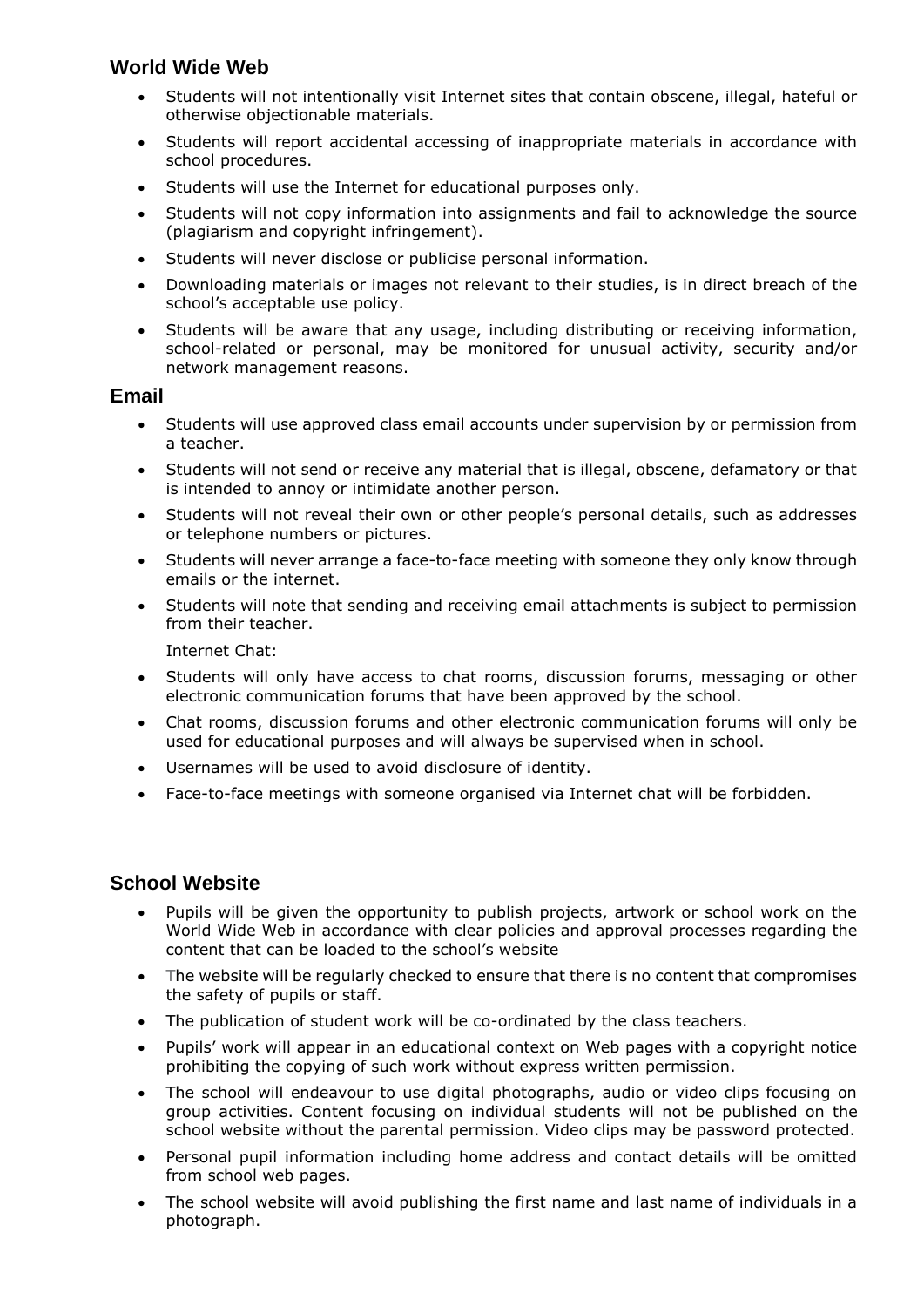## **World Wide Web**

- Students will not intentionally visit Internet sites that contain obscene, illegal, hateful or otherwise objectionable materials.
- Students will report accidental accessing of inappropriate materials in accordance with school procedures.
- Students will use the Internet for educational purposes only.
- Students will not copy information into assignments and fail to acknowledge the source (plagiarism and copyright infringement).
- Students will never disclose or publicise personal information.
- Downloading materials or images not relevant to their studies, is in direct breach of the school's acceptable use policy.
- Students will be aware that any usage, including distributing or receiving information, school-related or personal, may be monitored for unusual activity, security and/or network management reasons.

#### **Email**

- Students will use approved class email accounts under supervision by or permission from a teacher.
- Students will not send or receive any material that is illegal, obscene, defamatory or that is intended to annoy or intimidate another person.
- Students will not reveal their own or other people's personal details, such as addresses or telephone numbers or pictures.
- Students will never arrange a face-to-face meeting with someone they only know through emails or the internet.
- Students will note that sending and receiving email attachments is subject to permission from their teacher.

Internet Chat:

- Students will only have access to chat rooms, discussion forums, messaging or other electronic communication forums that have been approved by the school.
- Chat rooms, discussion forums and other electronic communication forums will only be used for educational purposes and will always be supervised when in school.
- Usernames will be used to avoid disclosure of identity.
- Face-to-face meetings with someone organised via Internet chat will be forbidden.

### **School Website**

- Pupils will be given the opportunity to publish projects, artwork or school work on the World Wide Web in accordance with clear policies and approval processes regarding the content that can be loaded to the school's website
- The website will be regularly checked to ensure that there is no content that compromises the safety of pupils or staff.
- The publication of student work will be co-ordinated by the class teachers.
- Pupils' work will appear in an educational context on Web pages with a copyright notice prohibiting the copying of such work without express written permission.
- The school will endeavour to use digital photographs, audio or video clips focusing on group activities. Content focusing on individual students will not be published on the school website without the parental permission. Video clips may be password protected.
- Personal pupil information including home address and contact details will be omitted from school web pages.
- The school website will avoid publishing the first name and last name of individuals in a photograph.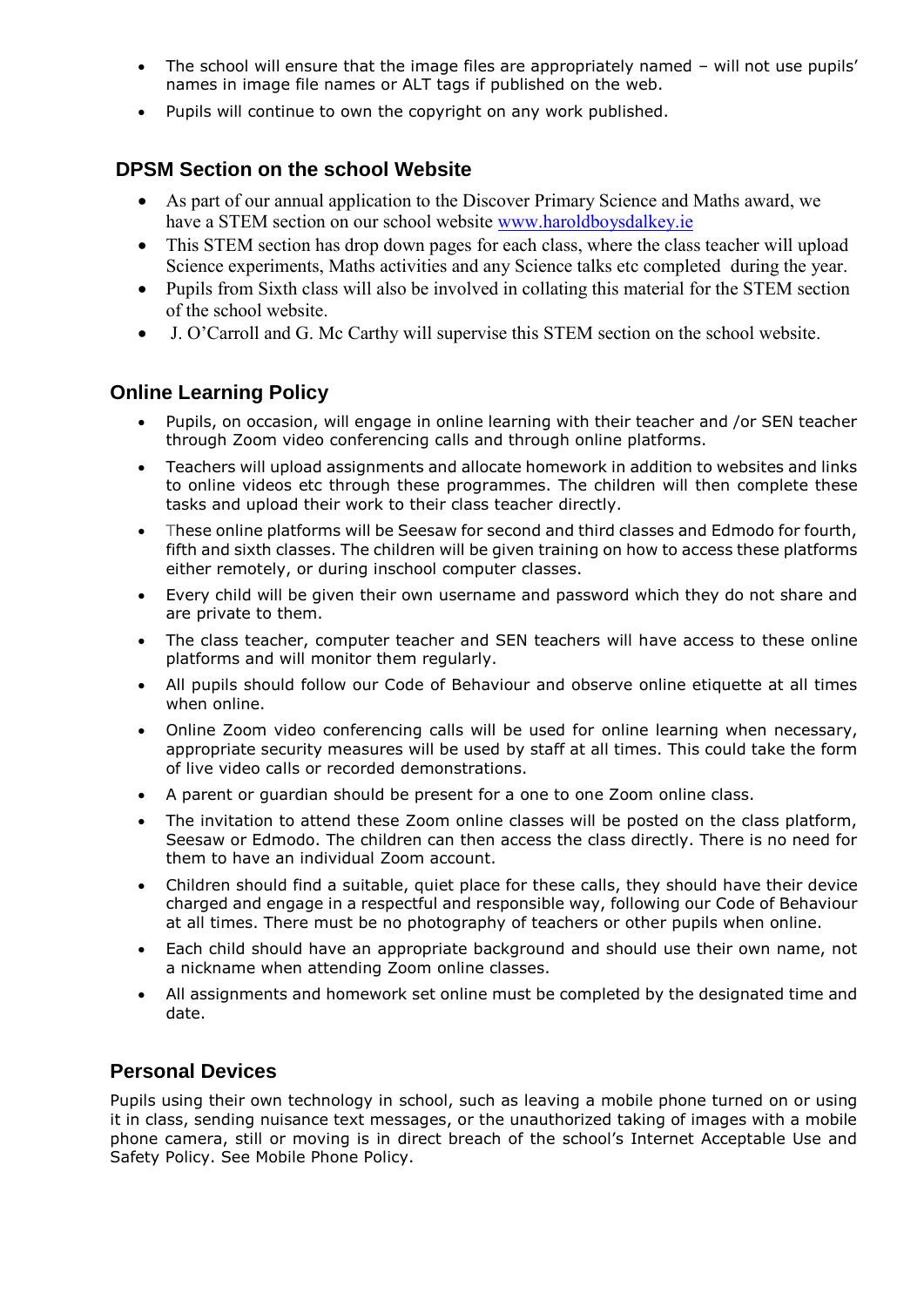- The school will ensure that the image files are appropriately named will not use pupils' names in image file names or ALT tags if published on the web.
- Pupils will continue to own the copyright on any work published.

## **DPSM Section on the school Website**

- As part of our annual application to the Discover Primary Science and Maths award, we have a STEM section on our school website [www.haroldboysdalkey.ie](http://www.haroldboysdalkey.ie/)
- This STEM section has drop down pages for each class, where the class teacher will upload Science experiments, Maths activities and any Science talks etc completed during the year.
- Pupils from Sixth class will also be involved in collating this material for the STEM section of the school website.
- J. O'Carroll and G. Mc Carthy will supervise this STEM section on the school website.

### **Online Learning Policy**

- Pupils, on occasion, will engage in online learning with their teacher and /or SEN teacher through Zoom video conferencing calls and through online platforms.
- Teachers will upload assignments and allocate homework in addition to websites and links to online videos etc through these programmes. The children will then complete these tasks and upload their work to their class teacher directly.
- These online platforms will be Seesaw for second and third classes and Edmodo for fourth, fifth and sixth classes. The children will be given training on how to access these platforms either remotely, or during inschool computer classes.
- Every child will be given their own username and password which they do not share and are private to them.
- The class teacher, computer teacher and SEN teachers will have access to these online platforms and will monitor them regularly.
- All pupils should follow our Code of Behaviour and observe online etiquette at all times when online.
- Online Zoom video conferencing calls will be used for online learning when necessary, appropriate security measures will be used by staff at all times. This could take the form of live video calls or recorded demonstrations.
- A parent or guardian should be present for a one to one Zoom online class.
- The invitation to attend these Zoom online classes will be posted on the class platform, Seesaw or Edmodo. The children can then access the class directly. There is no need for them to have an individual Zoom account.
- Children should find a suitable, quiet place for these calls, they should have their device charged and engage in a respectful and responsible way, following our Code of Behaviour at all times. There must be no photography of teachers or other pupils when online.
- Each child should have an appropriate background and should use their own name, not a nickname when attending Zoom online classes.
- All assignments and homework set online must be completed by the designated time and date.

### **Personal Devices**

Pupils using their own technology in school, such as leaving a mobile phone turned on or using it in class, sending nuisance text messages, or the unauthorized taking of images with a mobile phone camera, still or moving is in direct breach of the school's Internet Acceptable Use and Safety Policy. See Mobile Phone Policy.